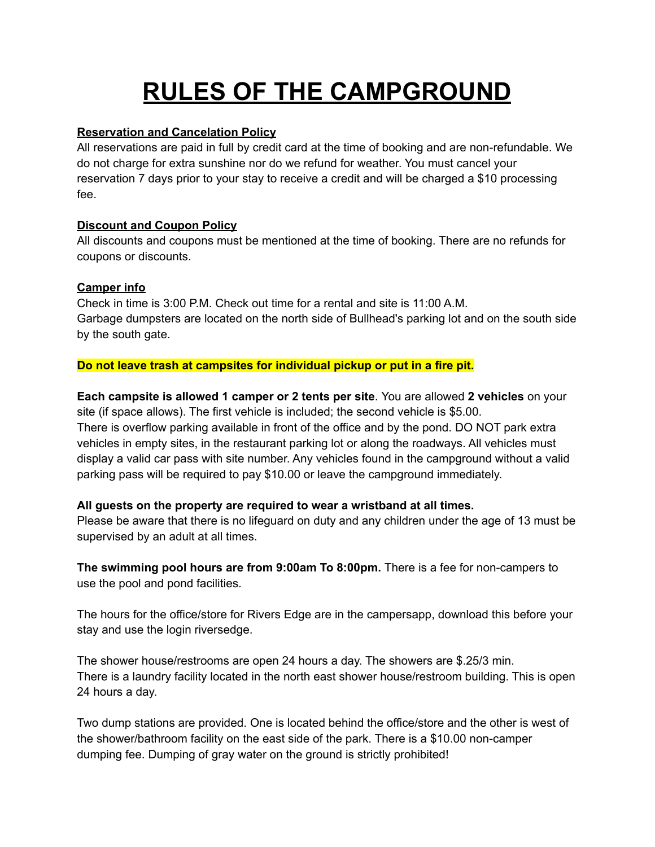# **RULES OF THE CAMPGROUND**

### **Reservation and Cancelation Policy**

All reservations are paid in full by credit card at the time of booking and are non-refundable. We do not charge for extra sunshine nor do we refund for weather. You must cancel your reservation 7 days prior to your stay to receive a credit and will be charged a \$10 processing fee.

### **Discount and Coupon Policy**

All discounts and coupons must be mentioned at the time of booking. There are no refunds for coupons or discounts.

## **Camper info**

Check in time is 3:00 P.M. Check out time for a rental and site is 11:00 A.M. Garbage dumpsters are located on the north side of Bullhead's parking lot and on the south side by the south gate.

**Do not leave trash at campsites for individual pickup or put in a fire pit.**

**Each campsite is allowed 1 camper or 2 tents per site**. You are allowed **2 vehicles** on your site (if space allows). The first vehicle is included; the second vehicle is \$5.00. There is overflow parking available in front of the office and by the pond. DO NOT park extra vehicles in empty sites, in the restaurant parking lot or along the roadways. All vehicles must display a valid car pass with site number. Any vehicles found in the campground without a valid parking pass will be required to pay \$10.00 or leave the campground immediately.

## **All guests on the property are required to wear a wristband at all times.**

Please be aware that there is no lifeguard on duty and any children under the age of 13 must be supervised by an adult at all times.

**The swimming pool hours are from 9:00am To 8:00pm.** There is a fee for non-campers to use the pool and pond facilities.

The hours for the office/store for Rivers Edge are in the campersapp, download this before your stay and use the login riversedge.

The shower house/restrooms are open 24 hours a day. The showers are \$.25/3 min. There is a laundry facility located in the north east shower house/restroom building. This is open 24 hours a day.

Two dump stations are provided. One is located behind the office/store and the other is west of the shower/bathroom facility on the east side of the park. There is a \$10.00 non-camper dumping fee. Dumping of gray water on the ground is strictly prohibited!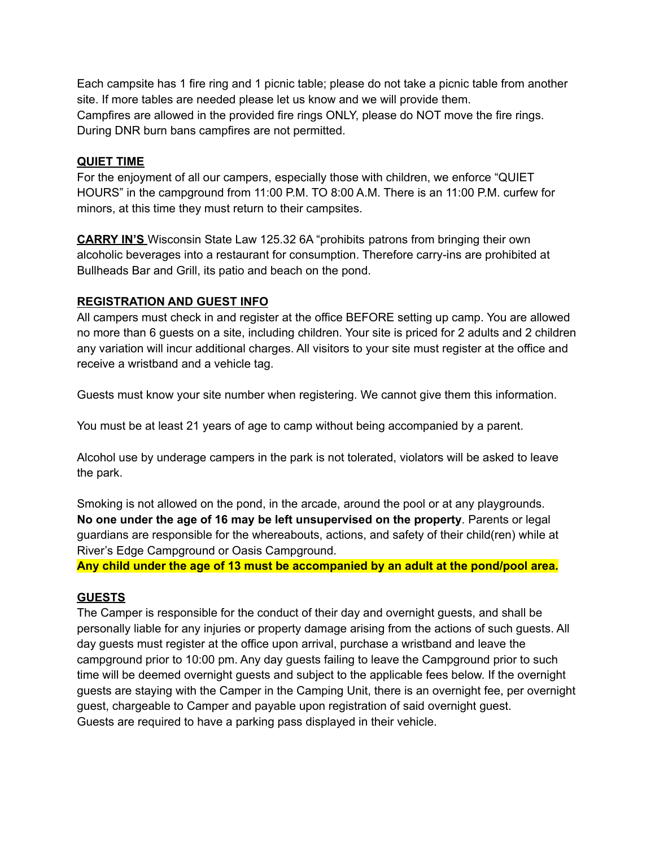Each campsite has 1 fire ring and 1 picnic table; please do not take a picnic table from another site. If more tables are needed please let us know and we will provide them. Campfires are allowed in the provided fire rings ONLY, please do NOT move the fire rings. During DNR burn bans campfires are not permitted.

#### **QUIET TIME**

For the enjoyment of all our campers, especially those with children, we enforce "QUIET HOURS" in the campground from 11:00 P.M. TO 8:00 A.M. There is an 11:00 P.M. curfew for minors, at this time they must return to their campsites.

**CARRY IN'S** Wisconsin State Law 125.32 6A "prohibits patrons from bringing their own alcoholic beverages into a restaurant for consumption. Therefore carry-ins are prohibited at Bullheads Bar and Grill, its patio and beach on the pond.

#### **REGISTRATION AND GUEST INFO**

All campers must check in and register at the office BEFORE setting up camp. You are allowed no more than 6 guests on a site, including children. Your site is priced for 2 adults and 2 children any variation will incur additional charges. All visitors to your site must register at the office and receive a wristband and a vehicle tag.

Guests must know your site number when registering. We cannot give them this information.

You must be at least 21 years of age to camp without being accompanied by a parent.

Alcohol use by underage campers in the park is not tolerated, violators will be asked to leave the park.

Smoking is not allowed on the pond, in the arcade, around the pool or at any playgrounds. **No one under the age of 16 may be left unsupervised on the property**. Parents or legal guardians are responsible for the whereabouts, actions, and safety of their child(ren) while at River's Edge Campground or Oasis Campground.

**Any child under the age of 13 must be accompanied by an adult at the pond/pool area.**

### **GUESTS**

The Camper is responsible for the conduct of their day and overnight guests, and shall be personally liable for any injuries or property damage arising from the actions of such guests. All day guests must register at the office upon arrival, purchase a wristband and leave the campground prior to 10:00 pm. Any day guests failing to leave the Campground prior to such time will be deemed overnight guests and subject to the applicable fees below. If the overnight guests are staying with the Camper in the Camping Unit, there is an overnight fee, per overnight guest, chargeable to Camper and payable upon registration of said overnight guest. Guests are required to have a parking pass displayed in their vehicle.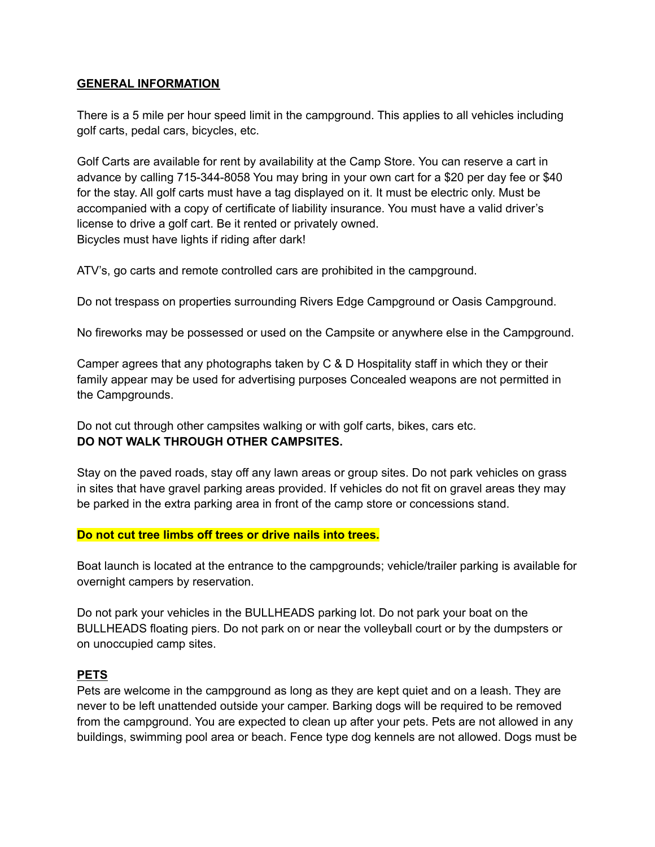#### **GENERAL INFORMATION**

There is a 5 mile per hour speed limit in the campground. This applies to all vehicles including golf carts, pedal cars, bicycles, etc.

Golf Carts are available for rent by availability at the Camp Store. You can reserve a cart in advance by calling 715-344-8058 You may bring in your own cart for a \$20 per day fee or \$40 for the stay. All golf carts must have a tag displayed on it. It must be electric only. Must be accompanied with a copy of certificate of liability insurance. You must have a valid driver's license to drive a golf cart. Be it rented or privately owned. Bicycles must have lights if riding after dark!

ATV's, go carts and remote controlled cars are prohibited in the campground.

Do not trespass on properties surrounding Rivers Edge Campground or Oasis Campground.

No fireworks may be possessed or used on the Campsite or anywhere else in the Campground.

Camper agrees that any photographs taken by C & D Hospitality staff in which they or their family appear may be used for advertising purposes Concealed weapons are not permitted in the Campgrounds.

Do not cut through other campsites walking or with golf carts, bikes, cars etc. **DO NOT WALK THROUGH OTHER CAMPSITES.**

Stay on the paved roads, stay off any lawn areas or group sites. Do not park vehicles on grass in sites that have gravel parking areas provided. If vehicles do not fit on gravel areas they may be parked in the extra parking area in front of the camp store or concessions stand.

#### **Do not cut tree limbs off trees or drive nails into trees.**

Boat launch is located at the entrance to the campgrounds; vehicle/trailer parking is available for overnight campers by reservation.

Do not park your vehicles in the BULLHEADS parking lot. Do not park your boat on the BULLHEADS floating piers. Do not park on or near the volleyball court or by the dumpsters or on unoccupied camp sites.

#### **PETS**

Pets are welcome in the campground as long as they are kept quiet and on a leash. They are never to be left unattended outside your camper. Barking dogs will be required to be removed from the campground. You are expected to clean up after your pets. Pets are not allowed in any buildings, swimming pool area or beach. Fence type dog kennels are not allowed. Dogs must be